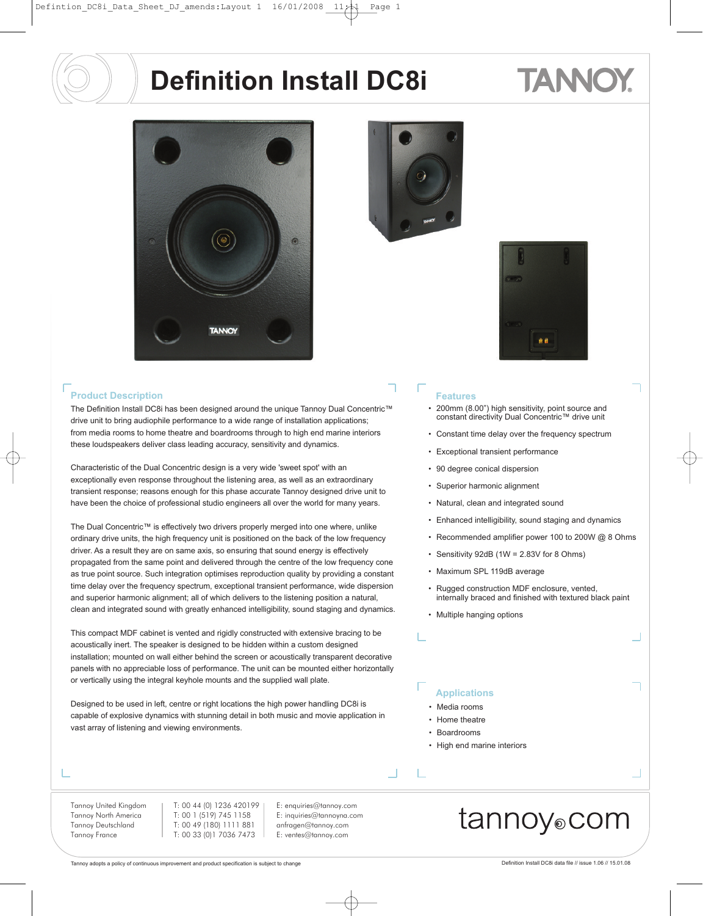# TANNO



#### **Product Description**

The Definition Install DC8i has been designed around the unique Tannoy Dual Concentric™ drive unit to bring audiophile performance to a wide range of installation applications; from media rooms to home theatre and boardrooms through to high end marine interiors these loudspeakers deliver class leading accuracy, sensitivity and dynamics.

Characteristic of the Dual Concentric design is a very wide 'sweet spot' with an exceptionally even response throughout the listening area, as well as an extraordinary transient response; reasons enough for this phase accurate Tannoy designed drive unit to have been the choice of professional studio engineers all over the world for many years.

The Dual Concentric™ is effectively two drivers properly merged into one where, unlike ordinary drive units, the high frequency unit is positioned on the back of the low frequency driver. As a result they are on same axis, so ensuring that sound energy is effectively propagated from the same point and delivered through the centre of the low frequency cone as true point source. Such integration optimises reproduction quality by providing a constant time delay over the frequency spectrum, exceptional transient performance, wide dispersion and superior harmonic alignment; all of which delivers to the listening position a natural, clean and integrated sound with greatly enhanced intelligibility, sound staging and dynamics.

This compact MDF cabinet is vented and rigidly constructed with extensive bracing to be acoustically inert. The speaker is designed to be hidden within a custom designed installation; mounted on wall either behind the screen or acoustically transparent decorative panels with no appreciable loss of performance. The unit can be mounted either horizontally or vertically using the integral keyhole mounts and the supplied wall plate.

Designed to be used in left, centre or right locations the high power handling DC8i is capable of explosive dynamics with stunning detail in both music and movie application in vast array of listening and viewing environments.

#### Tannoy United Kingdom Tannoy North America Tannoy Deutschland Tannoy France

T: 00 44 (0) 1236 420199 T: 00 1 (519) 745 1158 T: 00 49 (180) 1111 881 T: 00 33 (0)1 7036 7473

E: enquiries@tannoy.com E: inquiries@tannoyna.com anfragen@tannoy.com E: ventes@tannoy.com



#### **Features**

• 200mm (8.00") high sensitivity, point source and constant directivity Dual Concentric™ drive unit

9 ê

- Constant time delay over the frequency spectrum
- Exceptional transient performance
- 90 degree conical dispersion
- Superior harmonic alignment
- Natural, clean and integrated sound
- Enhanced intelligibility, sound staging and dynamics
- Recommended amplifier power 100 to 200W @ 8 Ohms
- Sensitivity 92dB (1W = 2.83V for 8 Ohms)
- Maximum SPL 119dB average
- Rugged construction MDF enclosure, vented, internally braced and finished with textured black paint
- Multiple hanging options

#### **Applications**

- Media rooms
- Home theatre
- Boardrooms

 $\mathbb{R}^n$ 

• High end marine interiors

### tannoy®com

Tannoy adopts a policy of continuous improvement and product specification is subject to change Definition Install DC8i data file // issue 1.06 // 15.01.08

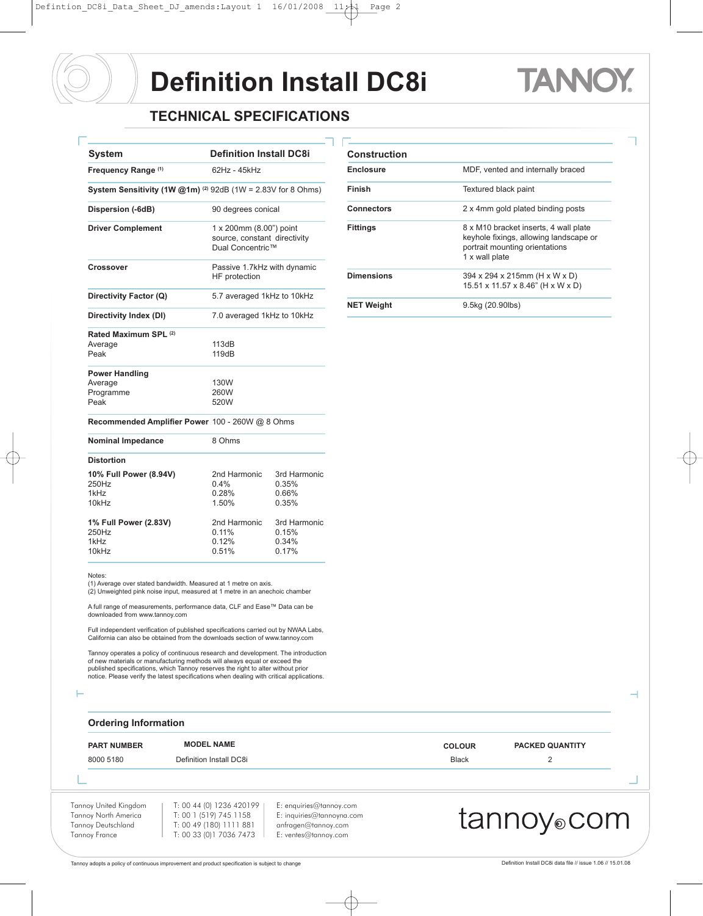### TAN

٦

#### **TECHNICAL SPECIFICATIONS**

| <b>System</b>                                                              | <b>Definition Install DC8i</b>                                              |                                         | <b>Construction</b> |
|----------------------------------------------------------------------------|-----------------------------------------------------------------------------|-----------------------------------------|---------------------|
| Frequency Range (1)                                                        | 62Hz - 45kHz                                                                |                                         | <b>Enclosure</b>    |
| System Sensitivity (1W $@1m$ ) <sup>(2)</sup> 92dB (1W = 2.83V for 8 Ohms) |                                                                             |                                         | Finish              |
| Dispersion (-6dB)                                                          | 90 degrees conical                                                          |                                         | <b>Connectors</b>   |
| <b>Driver Complement</b>                                                   | 1 x 200mm (8.00") point<br>source, constant directivity<br>Dual Concentric™ |                                         | <b>Fittings</b>     |
| <b>Crossover</b>                                                           | Passive 1.7kHz with dynamic<br>HF protection                                |                                         | <b>Dimensions</b>   |
| Directivity Factor (Q)                                                     | 5.7 averaged 1kHz to 10kHz                                                  |                                         |                     |
| Directivity Index (DI)                                                     | 7.0 averaged 1kHz to 10kHz                                                  |                                         | <b>NET Weight</b>   |
| Rated Maximum SPL (2)<br>Average<br>Peak                                   | 113dB<br>119dB                                                              |                                         |                     |
| <b>Power Handling</b><br>Average<br>Programme<br>Peak                      | 130W<br>260W<br>520W                                                        |                                         |                     |
| Recommended Amplifier Power 100 - 260W @ 8 Ohms                            |                                                                             |                                         |                     |
| <b>Nominal Impedance</b>                                                   | 8 Ohms                                                                      |                                         |                     |
| <b>Distortion</b>                                                          |                                                                             |                                         |                     |
| 10% Full Power (8.94V)<br>250Hz<br>1kHz<br>10kHz                           | 2nd Harmonic<br>0.4%<br>0.28%<br>1.50%                                      | 3rd Harmonic<br>0.35%<br>0.66%<br>0.35% |                     |
| 1% Full Power (2.83V)<br>250Hz<br>1kHz<br>10kHz                            | 2nd Harmonic<br>0.11%<br>0.12%<br>0.51%                                     | 3rd Harmonic<br>0.15%<br>0.34%<br>0.17% |                     |

| <b>Construction</b> |                                                                                                                                     |  |  |
|---------------------|-------------------------------------------------------------------------------------------------------------------------------------|--|--|
| Enclosure           | MDF, vented and internally braced                                                                                                   |  |  |
| Finish              | Textured black paint                                                                                                                |  |  |
| Connectors          | 2 x 4mm gold plated binding posts                                                                                                   |  |  |
| <b>Fittings</b>     | 8 x M10 bracket inserts, 4 wall plate<br>keyhole fixings, allowing landscape or<br>portrait mounting orientations<br>1 x wall plate |  |  |
| <b>Dimensions</b>   | 394 x 294 x 215mm (H x W x D)<br>15.51 x 11.57 x 8.46" (H x W x D)                                                                  |  |  |
| <b>NET Weight</b>   | 9.5kg (20.90lbs)                                                                                                                    |  |  |

Notes:

(1) Average over stated bandwidth. Measured at 1 metre on axis. (2) Unweighted pink noise input, measured at 1 metre in an anechoic chamber

A full range of measurements, performance data, CLF and Ease™ Data can be downloaded from www.tannoy.com

Full independent verification of published specifications carried out by NWAA Labs, California can also be obtained from the downloads section of www.tannoy.com

Tannoy operates a policy of continuous research and development. The introduction of new materials or manufacturing methods will always equal or exceed the<br>published specifications, which Tannoy reserves the right to alter without prior<br>notice. Please verify the latest specifications when dealing with c

j.

T

#### **Ordering Information**

#### **PART NUMBER MODEL NAME COLOUR PACKED QUANTITY**

8000 5180 **Definition Install DC8i** Black 2

Tannoy United Kingdom Tannoy North America Tannoy Deutschland Tannoy France

E: enquiries@tannoy.com E: inquiries@tannoyna.com anfragen@tannoy.com E: ventes@tannoy.com

### tannoy®com

Tannoy adopts a policy of continuous improvement and product specification is subject to change Definition Install DC8i data file // issue 1.06 // 15.01.08

 $\overline{\phantom{0}}$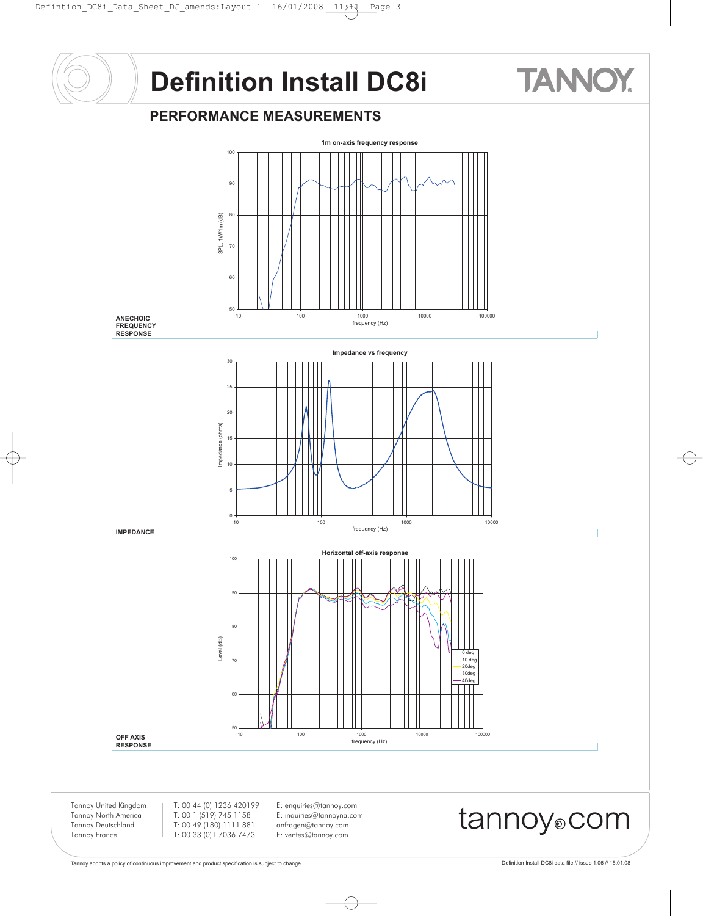#### **PERFORMANCE MEASUREMENTS**



Tannoy North America Tannoy Deutschland Tannoy France

T: 00 1 (519) 745 1158 T: 00 49 (180) 1111 881 T: 00 33 (0)1 7036 7473

anfragen@tannoy.com E: ventes@tannoy.com

**TANNO**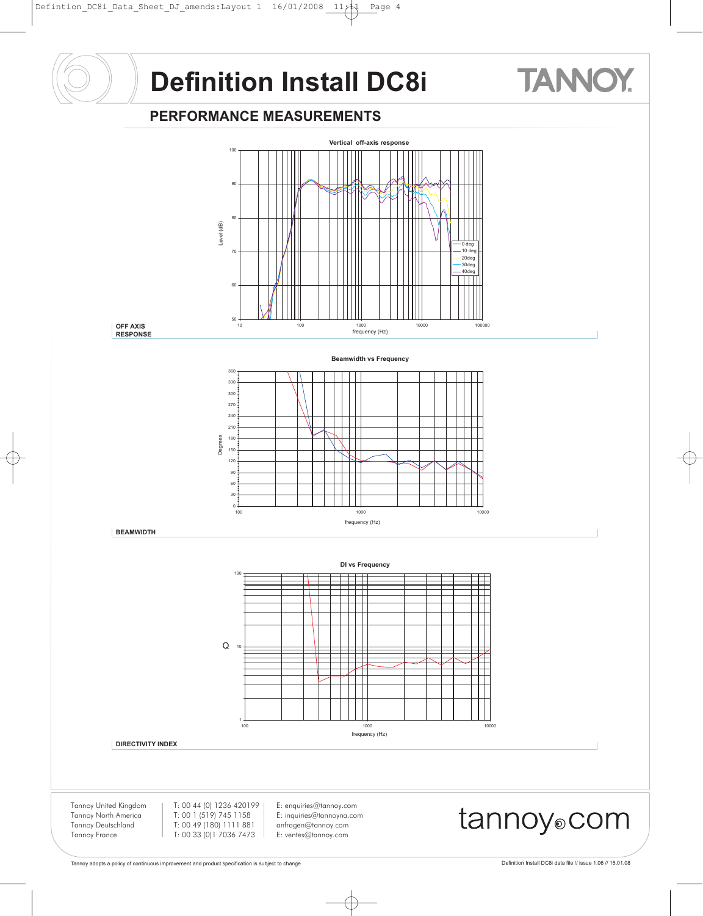#### **PERFORMANCE MEASUREMENTS**



**TANNO**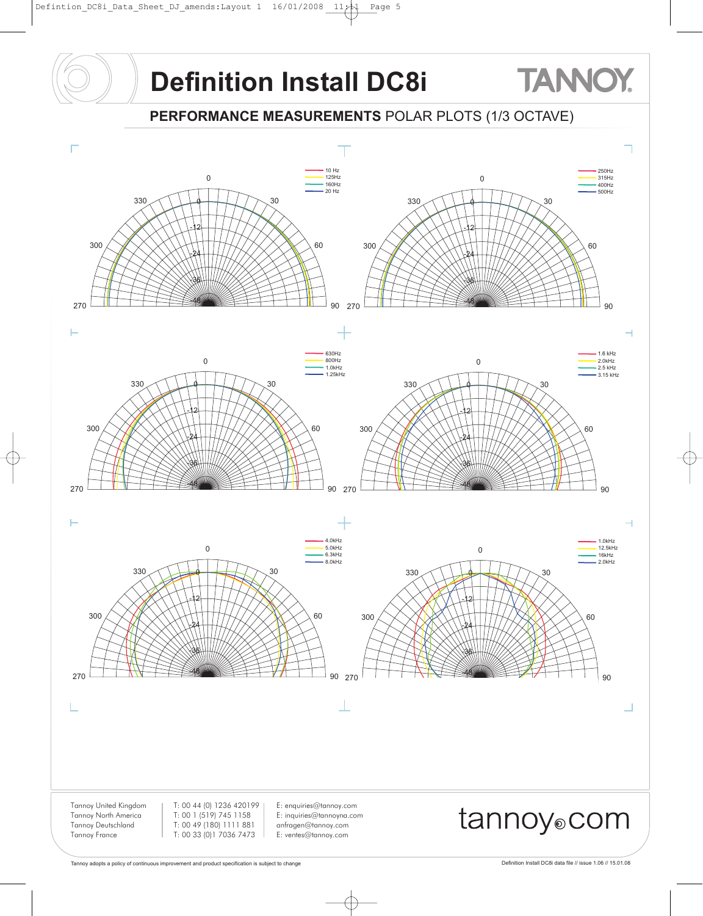**PERFORMANCE MEASUREMENTS** POLAR PLOTS (1/3 OCTAVE)



**TANNOY**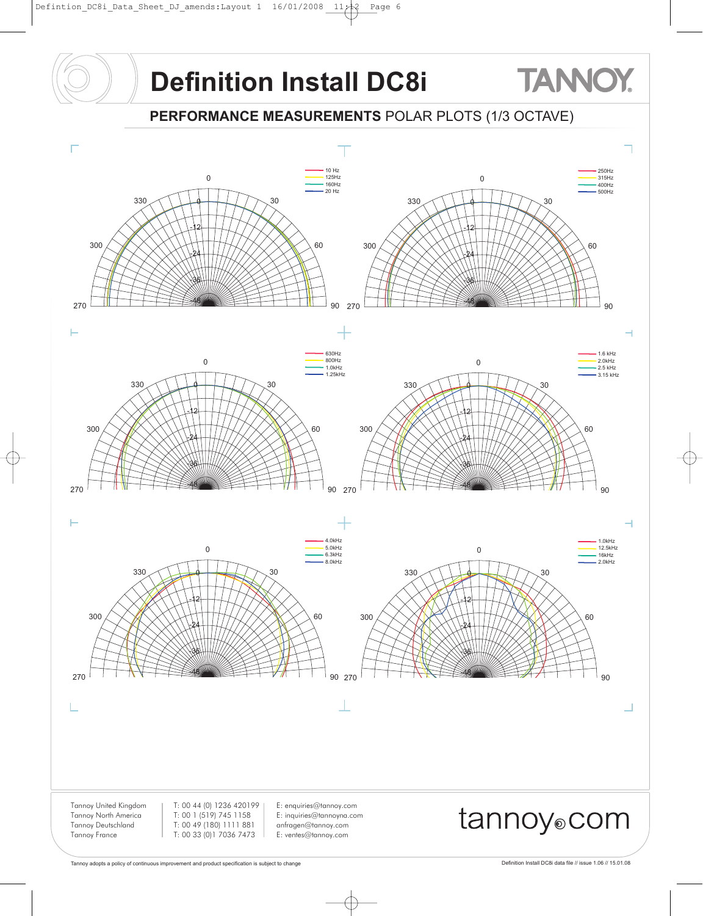**PERFORMANCE MEASUREMENTS** POLAR PLOTS (1/3 OCTAVE)



**TANNOY**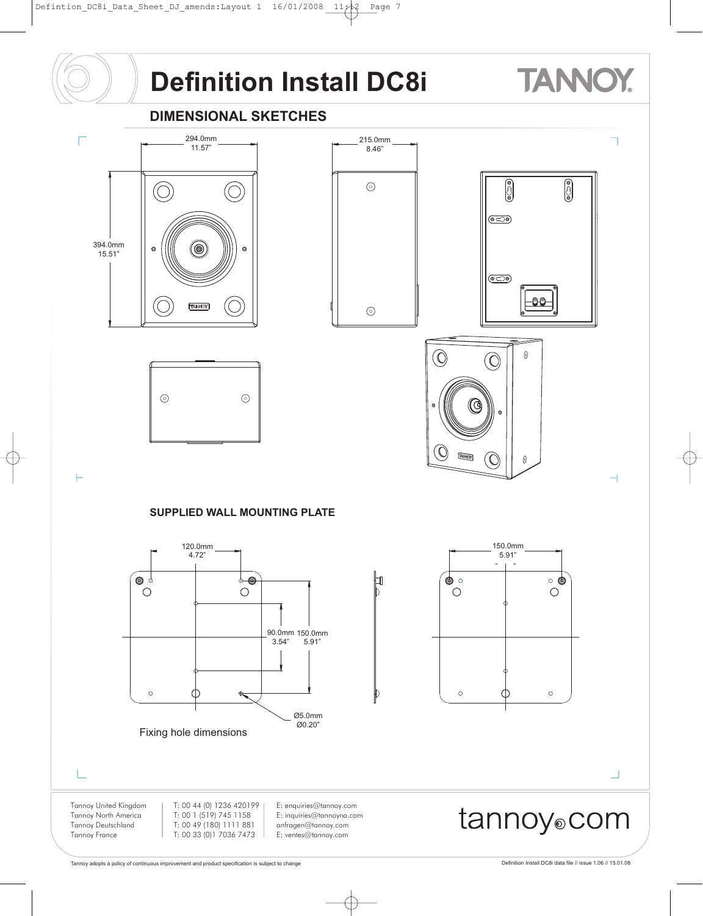# **TANNOY**

### **DIMENSIONAL SKETCHES**



 $\odot$ 







 $\vdash$ 

#### **SUPPLIED WALL MOUNTING PLATE**

 $\odot$ 





L

Tannoy United Kingdom Tannoy North America Tannoy Deutschland Tannoy France

T: 00 44 (0) 1236 420199 T: 00 1 (519) 745 1158 T: 00 49 (180) 1111 881 T: 00 33 (0)1 7036 7473

E: enquiries@tannoy.com E: inquiries@tannoyna.com anfragen@tannoy.com E: ventes@tannoy.com



┙